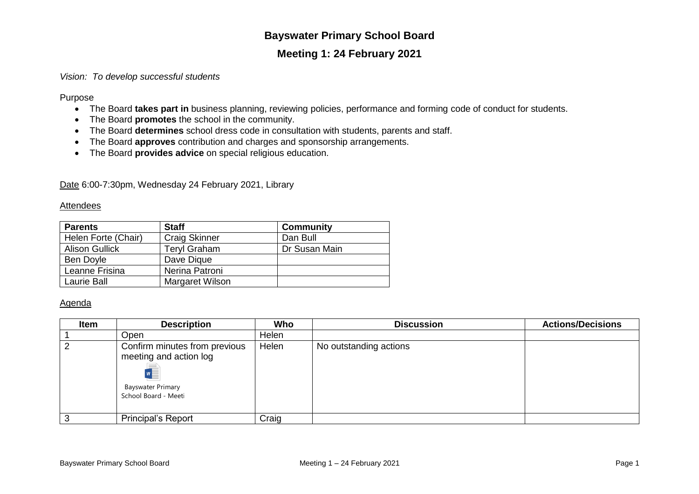# **Bayswater Primary School Board**

## **Meeting 1: 24 February 2021**

## *Vision: To develop successful students*

Purpose

- The Board **takes part in** business planning, reviewing policies, performance and forming code of conduct for students.
- The Board **promotes** the school in the community.
- The Board **determines** school dress code in consultation with students, parents and staff.
- The Board **approves** contribution and charges and sponsorship arrangements.
- The Board **provides advice** on special religious education.

Date 6:00-7:30pm, Wednesday 24 February 2021, Library

### **Attendees**

| <b>Parents</b>        | <b>Staff</b>         | <b>Community</b> |  |
|-----------------------|----------------------|------------------|--|
| Helen Forte (Chair)   | <b>Craig Skinner</b> | Dan Bull         |  |
| <b>Alison Gullick</b> | <b>Teryl Graham</b>  | Dr Susan Main    |  |
| Ben Doyle             | Dave Dique           |                  |  |
| Leanne Frisina        | Nerina Patroni       |                  |  |
| Laurie Ball           | Margaret Wilson      |                  |  |

### Agenda

| <b>Item</b> | <b>Description</b>                                                                                         | Who   | <b>Discussion</b>      | <b>Actions/Decisions</b> |
|-------------|------------------------------------------------------------------------------------------------------------|-------|------------------------|--------------------------|
|             | Open                                                                                                       | Helen |                        |                          |
|             | Confirm minutes from previous<br>meeting and action log<br><b>Bayswater Primary</b><br>School Board - Meet | Helen | No outstanding actions |                          |
|             | <b>Principal's Report</b>                                                                                  | Craig |                        |                          |